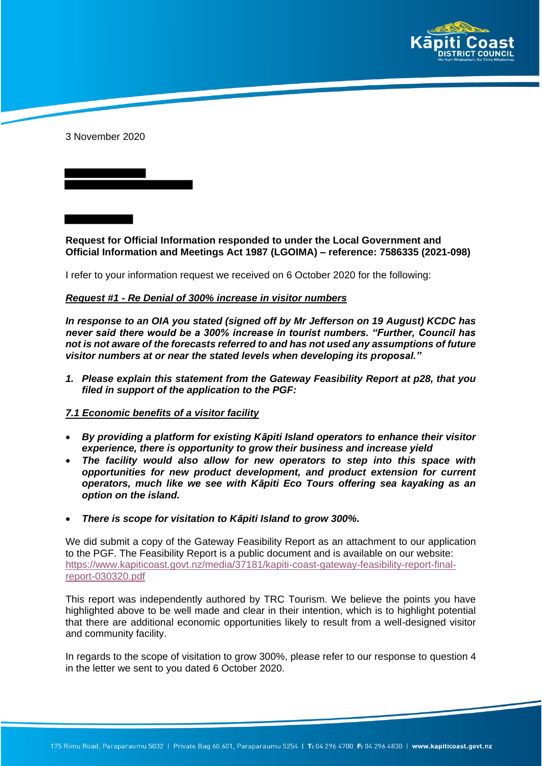

3 November 2020

**Request for Official Information responded to under the Local Government and Official Information and Meetings Act 1987 (LGOIMA) – reference: 7586335 (2021-098)**

I refer to your information request we received on 6 October 2020 for the following:

#### *Request #1 - Re Denial of 300% increase in visitor numbers*

*In response to an OIA you stated (signed off by Mr Jefferson on 19 August) KCDC has never said there would be a 300% increase in tourist numbers. "Further, Council has not is not aware of the forecasts referred to and has not used any assumptions of future visitor numbers at or near the stated levels when developing its proposal."* 

*1. Please explain this statement from the Gateway Feasibility Report at p28, that you filed in support of the application to the PGF:*

#### *7.1 Economic benefits of a visitor facility*

- *By providing a platform for existing Kāpiti Island operators to enhance their visitor experience, there is opportunity to grow their business and increase yield*
- *The facility would also allow for new operators to step into this space with opportunities for new product development, and product extension for current operators, much like we see with Kāpiti Eco Tours offering sea kayaking as an option on the island.*
- *There is scope for visitation to Kāpiti Island to grow 300%.*

We did submit a copy of the Gateway Feasibility Report as an attachment to our application to the PGF. The Feasibility Report is a public document and is available on our website: https://www.kapiticoast.govt.nz/media/37181/kapiti-coast-gateway-feasibility-report-finalreport-030320.pdf

This report was independently authored by TRC Tourism. We believe the points you have highlighted above to be well made and clear in their intention, which is to highlight potential that there are additional economic opportunities likely to result from a well-designed visitor and community facility.

In regards to the scope of visitation to grow 300%, please refer to our response to question 4 in the letter we sent to you dated 6 October 2020.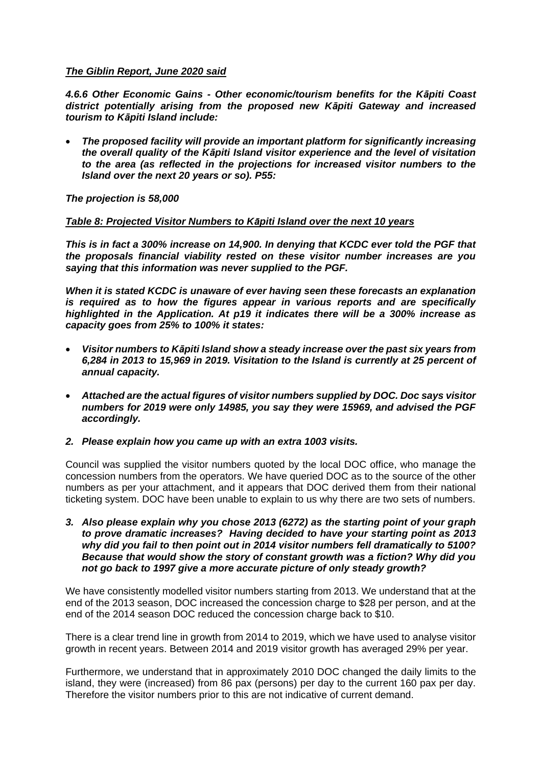### *The Giblin Report, June 2020 said*

*4.6.6 Other Economic Gains - Other economic/tourism benefits for the Kāpiti Coast district potentially arising from the proposed new Kāpiti Gateway and increased tourism to Kāpiti Island include:* 

 *The proposed facility will provide an important platform for significantly increasing the overall quality of the Kāpiti Island visitor experience and the level of visitation to the area (as reflected in the projections for increased visitor numbers to the Island over the next 20 years or so). P55:*

*The projection is 58,000* 

### *Table 8: Projected Visitor Numbers to Kāpiti Island over the next 10 years*

*This is in fact a 300% increase on 14,900. In denying that KCDC ever told the PGF that the proposals financial viability rested on these visitor number increases are you saying that this information was never supplied to the PGF.* 

*When it is stated KCDC is unaware of ever having seen these forecasts an explanation is required as to how the figures appear in various reports and are specifically highlighted in the Application. At p19 it indicates there will be a 300% increase as capacity goes from 25% to 100% it states:*

- *Visitor numbers to Kāpiti Island show a steady increase over the past six years from 6,284 in 2013 to 15,969 in 2019. Visitation to the Island is currently at 25 percent of annual capacity.*
- *Attached are the actual figures of visitor numbers supplied by DOC. Doc says visitor numbers for 2019 were only 14985, you say they were 15969, and advised the PGF accordingly.*

#### *2. Please explain how you came up with an extra 1003 visits.*

Council was supplied the visitor numbers quoted by the local DOC office, who manage the concession numbers from the operators. We have queried DOC as to the source of the other numbers as per your attachment, and it appears that DOC derived them from their national ticketing system. DOC have been unable to explain to us why there are two sets of numbers.

*3. Also please explain why you chose 2013 (6272) as the starting point of your graph to prove dramatic increases? Having decided to have your starting point as 2013 why did you fail to then point out in 2014 visitor numbers fell dramatically to 5100? Because that would show the story of constant growth was a fiction? Why did you not go back to 1997 give a more accurate picture of only steady growth?*

We have consistently modelled visitor numbers starting from 2013. We understand that at the end of the 2013 season, DOC increased the concession charge to \$28 per person, and at the end of the 2014 season DOC reduced the concession charge back to \$10.

There is a clear trend line in growth from 2014 to 2019, which we have used to analyse visitor growth in recent years. Between 2014 and 2019 visitor growth has averaged 29% per year.

Furthermore, we understand that in approximately 2010 DOC changed the daily limits to the island, they were (increased) from 86 pax (persons) per day to the current 160 pax per day. Therefore the visitor numbers prior to this are not indicative of current demand.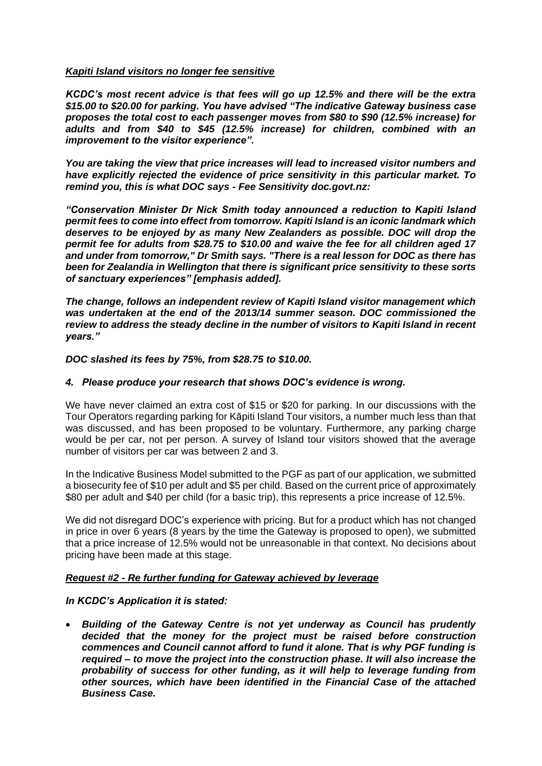### *Kapiti Island visitors no longer fee sensitive*

*KCDC's most recent advice is that fees will go up 12.5% and there will be the extra \$15.00 to \$20.00 for parking. You have advised "The indicative Gateway business case proposes the total cost to each passenger moves from \$80 to \$90 (12.5% increase) for adults and from \$40 to \$45 (12.5% increase) for children, combined with an improvement to the visitor experience".*

*You are taking the view that price increases will lead to increased visitor numbers and have explicitly rejected the evidence of price sensitivity in this particular market. To remind you, this is what DOC says - Fee Sensitivity doc.govt.nz:*

*"Conservation Minister Dr Nick Smith today announced a reduction to Kapiti Island permit fees to come into effect from tomorrow. Kapiti Island is an iconic landmark which deserves to be enjoyed by as many New Zealanders as possible. DOC will drop the permit fee for adults from \$28.75 to \$10.00 and waive the fee for all children aged 17 and under from tomorrow," Dr Smith says. "There is a real lesson for DOC as there has been for Zealandia in Wellington that there is significant price sensitivity to these sorts of sanctuary experiences" [emphasis added].*

*The change, follows an independent review of Kapiti Island visitor management which was undertaken at the end of the 2013/14 summer season. DOC commissioned the review to address the steady decline in the number of visitors to Kapiti Island in recent years."*

*DOC slashed its fees by 75%, from \$28.75 to \$10.00.*

### *4. Please produce your research that shows DOC's evidence is wrong.*

We have never claimed an extra cost of \$15 or \$20 for parking. In our discussions with the Tour Operators regarding parking for Kāpiti Island Tour visitors, a number much less than that was discussed, and has been proposed to be voluntary. Furthermore, any parking charge would be per car, not per person. A survey of Island tour visitors showed that the average number of visitors per car was between 2 and 3.

In the Indicative Business Model submitted to the PGF as part of our application, we submitted a biosecurity fee of \$10 per adult and \$5 per child. Based on the current price of approximately \$80 per adult and \$40 per child (for a basic trip), this represents a price increase of 12.5%.

We did not disregard DOC's experience with pricing. But for a product which has not changed in price in over 6 years (8 years by the time the Gateway is proposed to open), we submitted that a price increase of 12.5% would not be unreasonable in that context. No decisions about pricing have been made at this stage.

## *Request #2 - Re further funding for Gateway achieved by leverage*

## *In KCDC's Application it is stated:*

 *Building of the Gateway Centre is not yet underway as Council has prudently decided that the money for the project must be raised before construction commences and Council cannot afford to fund it alone. That is why PGF funding is required – to move the project into the construction phase. It will also increase the probability of success for other funding, as it will help to leverage funding from other sources, which have been identified in the Financial Case of the attached Business Case.*